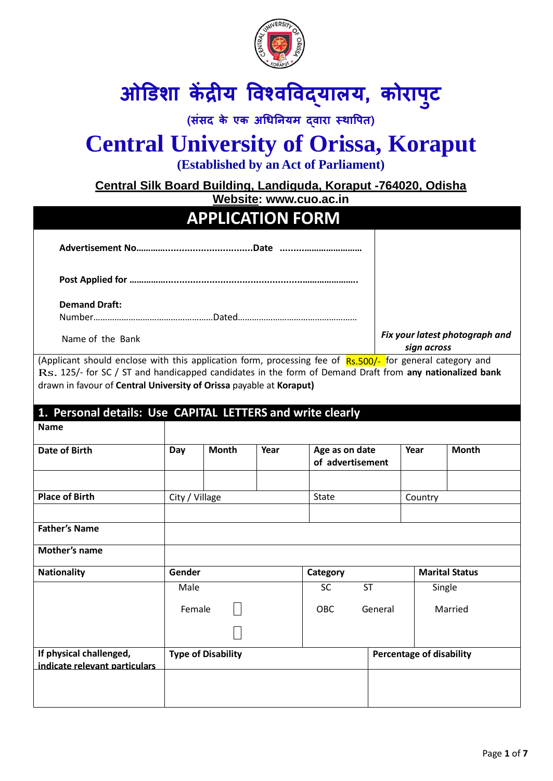

# **ओडिशा केंद्रीय विश्िविद्यालय, कोराप ु ट**

**(संसद के एक अधिनियम द्िारा स्थावपत)**

# **Central University of Orissa, Koraput**

**(Established by an Act of Parliament)**

**Central Silk Board Building, Landiguda, Koraput -764020, Odisha**

**Website: www.cuo.ac.in**

|                                                                                                                                                                                                                                                                                             |                |                           | Website: www.cuo.ac.in |                                    |           |                                 |                                |
|---------------------------------------------------------------------------------------------------------------------------------------------------------------------------------------------------------------------------------------------------------------------------------------------|----------------|---------------------------|------------------------|------------------------------------|-----------|---------------------------------|--------------------------------|
|                                                                                                                                                                                                                                                                                             |                | <b>APPLICATION FORM</b>   |                        |                                    |           |                                 |                                |
|                                                                                                                                                                                                                                                                                             |                |                           |                        |                                    |           |                                 |                                |
|                                                                                                                                                                                                                                                                                             |                |                           |                        |                                    |           |                                 |                                |
| <b>Demand Draft:</b>                                                                                                                                                                                                                                                                        |                |                           |                        |                                    |           |                                 |                                |
| Name of the Bank                                                                                                                                                                                                                                                                            |                |                           |                        |                                    |           | sign across                     | Fix your latest photograph and |
| (Applicant should enclose with this application form, processing fee of Rs.500/- for general category and<br>Rs. 125/- for SC / ST and handicapped candidates in the form of Demand Draft from any nationalized bank<br>drawn in favour of Central University of Orissa payable at Koraput) |                |                           |                        |                                    |           |                                 |                                |
| 1. Personal details: Use CAPITAL LETTERS and write clearly<br><b>Name</b>                                                                                                                                                                                                                   |                |                           |                        |                                    |           |                                 |                                |
| Date of Birth                                                                                                                                                                                                                                                                               | Day            | <b>Month</b>              | Year                   | Age as on date<br>of advertisement |           | Year                            | <b>Month</b>                   |
| <b>Place of Birth</b>                                                                                                                                                                                                                                                                       | City / Village |                           |                        | <b>State</b>                       |           | Country                         |                                |
| <b>Father's Name</b>                                                                                                                                                                                                                                                                        |                |                           |                        |                                    |           |                                 |                                |
| <b>Mother's name</b>                                                                                                                                                                                                                                                                        |                |                           |                        |                                    |           |                                 |                                |
| <b>Nationality</b>                                                                                                                                                                                                                                                                          | Gender         |                           |                        | Category                           |           |                                 | <b>Marital Status</b>          |
|                                                                                                                                                                                                                                                                                             | Male           |                           |                        | <b>SC</b>                          | <b>ST</b> | Single                          |                                |
|                                                                                                                                                                                                                                                                                             | Female         |                           | OBC<br>General         |                                    | Married   |                                 |                                |
|                                                                                                                                                                                                                                                                                             |                |                           |                        |                                    |           |                                 |                                |
| If physical challenged,<br>indicate relevant particulars                                                                                                                                                                                                                                    |                | <b>Type of Disability</b> |                        |                                    |           | <b>Percentage of disability</b> |                                |
|                                                                                                                                                                                                                                                                                             |                |                           |                        |                                    |           |                                 |                                |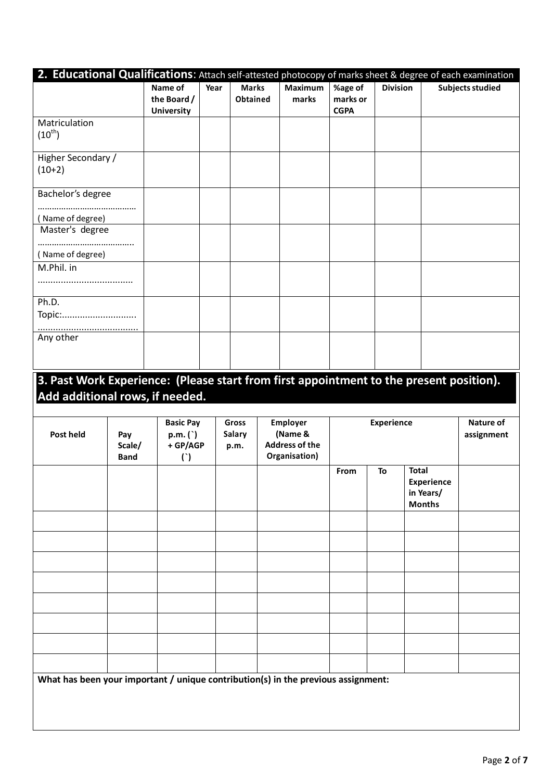| 2. Educational Qualifications: Attach self-attested photocopy of marks sheet & degree of each examination                  |                              |                                                   |      |                                 |                                                                      |                                    |                   |                                                          |                         |
|----------------------------------------------------------------------------------------------------------------------------|------------------------------|---------------------------------------------------|------|---------------------------------|----------------------------------------------------------------------|------------------------------------|-------------------|----------------------------------------------------------|-------------------------|
|                                                                                                                            |                              | Name of<br>the Board /<br><b>University</b>       | Year | <b>Marks</b><br><b>Obtained</b> | Maximum<br>marks                                                     | %age of<br>marks or<br><b>CGPA</b> | <b>Division</b>   |                                                          | <b>Subjects studied</b> |
| Matriculation<br>$(10^{th})$                                                                                               |                              |                                                   |      |                                 |                                                                      |                                    |                   |                                                          |                         |
| Higher Secondary /<br>$(10+2)$                                                                                             |                              |                                                   |      |                                 |                                                                      |                                    |                   |                                                          |                         |
| Bachelor's degree                                                                                                          |                              |                                                   |      |                                 |                                                                      |                                    |                   |                                                          |                         |
| (Name of degree)<br>Master's degree                                                                                        |                              |                                                   |      |                                 |                                                                      |                                    |                   |                                                          |                         |
| (Name of degree)                                                                                                           |                              |                                                   |      |                                 |                                                                      |                                    |                   |                                                          |                         |
| M.Phil. in                                                                                                                 |                              |                                                   |      |                                 |                                                                      |                                    |                   |                                                          |                         |
| Ph.D.<br>Topic:                                                                                                            |                              |                                                   |      |                                 |                                                                      |                                    |                   |                                                          |                         |
| Any other                                                                                                                  |                              |                                                   |      |                                 |                                                                      |                                    |                   |                                                          |                         |
|                                                                                                                            |                              |                                                   |      |                                 |                                                                      |                                    |                   |                                                          |                         |
| 3. Past Work Experience: (Please start from first appointment to the present position).<br>Add additional rows, if needed. |                              |                                                   |      |                                 |                                                                      |                                    |                   |                                                          |                         |
| Post held                                                                                                                  | Pay<br>Scale/<br><b>Band</b> | <b>Basic Pay</b><br>p.m. ( )<br>+ GP/AGP<br>$($ ) |      | Gross<br><b>Salary</b><br>p.m.  | <b>Employer</b><br>(Name &<br><b>Address of the</b><br>Organisation) |                                    | <b>Experience</b> |                                                          | Nature of<br>assignment |
|                                                                                                                            |                              |                                                   |      |                                 |                                                                      | From                               | To                | <b>Total</b><br>Experience<br>in Years/<br><b>Months</b> |                         |
|                                                                                                                            |                              |                                                   |      |                                 |                                                                      |                                    |                   |                                                          |                         |
|                                                                                                                            |                              |                                                   |      |                                 |                                                                      |                                    |                   |                                                          |                         |
|                                                                                                                            |                              |                                                   |      |                                 |                                                                      |                                    |                   |                                                          |                         |
|                                                                                                                            |                              |                                                   |      |                                 |                                                                      |                                    |                   |                                                          |                         |
|                                                                                                                            |                              |                                                   |      |                                 |                                                                      |                                    |                   |                                                          |                         |
|                                                                                                                            |                              |                                                   |      |                                 |                                                                      |                                    |                   |                                                          |                         |
| What has been your important / unique contribution(s) in the previous assignment:                                          |                              |                                                   |      |                                 |                                                                      |                                    |                   |                                                          |                         |
|                                                                                                                            |                              |                                                   |      |                                 |                                                                      |                                    |                   |                                                          |                         |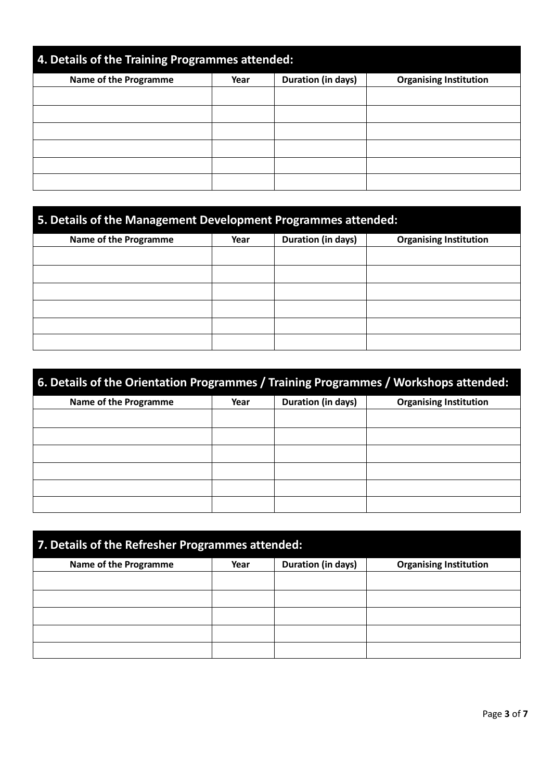| 4. Details of the Training Programmes attended: |      |                    |                               |  |  |  |
|-------------------------------------------------|------|--------------------|-------------------------------|--|--|--|
| Name of the Programme                           | Year | Duration (in days) | <b>Organising Institution</b> |  |  |  |
|                                                 |      |                    |                               |  |  |  |
|                                                 |      |                    |                               |  |  |  |
|                                                 |      |                    |                               |  |  |  |
|                                                 |      |                    |                               |  |  |  |
|                                                 |      |                    |                               |  |  |  |
|                                                 |      |                    |                               |  |  |  |

| 5. Details of the Management Development Programmes attended: |      |                    |                               |  |  |  |  |
|---------------------------------------------------------------|------|--------------------|-------------------------------|--|--|--|--|
| <b>Name of the Programme</b>                                  | Year | Duration (in days) | <b>Organising Institution</b> |  |  |  |  |
|                                                               |      |                    |                               |  |  |  |  |
|                                                               |      |                    |                               |  |  |  |  |
|                                                               |      |                    |                               |  |  |  |  |
|                                                               |      |                    |                               |  |  |  |  |
|                                                               |      |                    |                               |  |  |  |  |
|                                                               |      |                    |                               |  |  |  |  |

| 6. Details of the Orientation Programmes / Training Programmes / Workshops attended: |                                                             |  |  |  |  |  |  |
|--------------------------------------------------------------------------------------|-------------------------------------------------------------|--|--|--|--|--|--|
| Name of the Programme                                                                | Duration (in days)<br><b>Organising Institution</b><br>Year |  |  |  |  |  |  |
|                                                                                      |                                                             |  |  |  |  |  |  |
|                                                                                      |                                                             |  |  |  |  |  |  |
|                                                                                      |                                                             |  |  |  |  |  |  |
|                                                                                      |                                                             |  |  |  |  |  |  |
|                                                                                      |                                                             |  |  |  |  |  |  |
|                                                                                      |                                                             |  |  |  |  |  |  |

| 7. Details of the Refresher Programmes attended: |      |                    |                               |  |  |  |
|--------------------------------------------------|------|--------------------|-------------------------------|--|--|--|
| Name of the Programme                            | Year | Duration (in days) | <b>Organising Institution</b> |  |  |  |
|                                                  |      |                    |                               |  |  |  |
|                                                  |      |                    |                               |  |  |  |
|                                                  |      |                    |                               |  |  |  |
|                                                  |      |                    |                               |  |  |  |
|                                                  |      |                    |                               |  |  |  |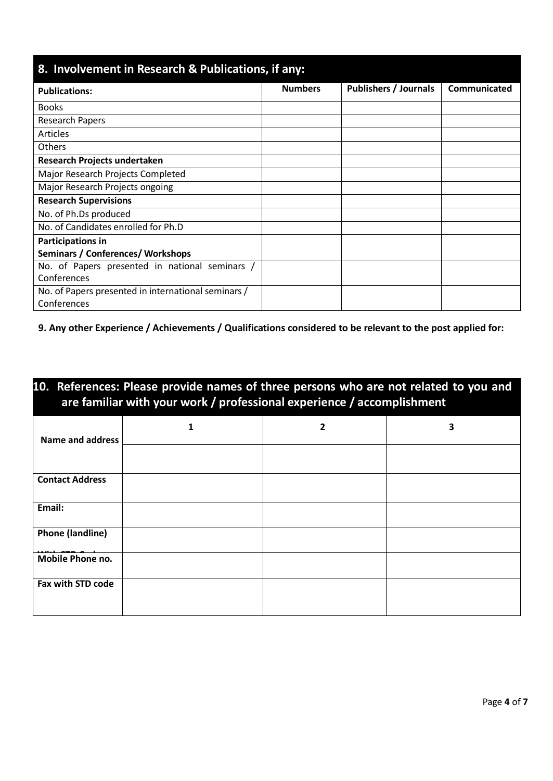| 8. Involvement in Research & Publications, if any:  |                |                              |              |  |  |  |  |
|-----------------------------------------------------|----------------|------------------------------|--------------|--|--|--|--|
| <b>Publications:</b>                                | <b>Numbers</b> | <b>Publishers / Journals</b> | Communicated |  |  |  |  |
| <b>Books</b>                                        |                |                              |              |  |  |  |  |
| Research Papers                                     |                |                              |              |  |  |  |  |
| <b>Articles</b>                                     |                |                              |              |  |  |  |  |
| Others                                              |                |                              |              |  |  |  |  |
| Research Projects undertaken                        |                |                              |              |  |  |  |  |
| Major Research Projects Completed                   |                |                              |              |  |  |  |  |
| Major Research Projects ongoing                     |                |                              |              |  |  |  |  |
| <b>Research Supervisions</b>                        |                |                              |              |  |  |  |  |
| No. of Ph.Ds produced                               |                |                              |              |  |  |  |  |
| No. of Candidates enrolled for Ph.D                 |                |                              |              |  |  |  |  |
| Participations in                                   |                |                              |              |  |  |  |  |
| <b>Seminars / Conferences/ Workshops</b>            |                |                              |              |  |  |  |  |
| No. of Papers presented in national seminars /      |                |                              |              |  |  |  |  |
| Conferences                                         |                |                              |              |  |  |  |  |
| No. of Papers presented in international seminars / |                |                              |              |  |  |  |  |
| Conferences                                         |                |                              |              |  |  |  |  |

**9. Any other Experience / Achievements / Qualifications considered to be relevant to the post applied for:**

| 10. References: Please provide names of three persons who are not related to you and<br>are familiar with your work / professional experience / accomplishment |   |   |  |  |  |  |  |
|----------------------------------------------------------------------------------------------------------------------------------------------------------------|---|---|--|--|--|--|--|
| 1                                                                                                                                                              | 2 | 3 |  |  |  |  |  |
|                                                                                                                                                                |   |   |  |  |  |  |  |
|                                                                                                                                                                |   |   |  |  |  |  |  |
|                                                                                                                                                                |   |   |  |  |  |  |  |
|                                                                                                                                                                |   |   |  |  |  |  |  |
|                                                                                                                                                                |   |   |  |  |  |  |  |
|                                                                                                                                                                |   |   |  |  |  |  |  |
|                                                                                                                                                                |   |   |  |  |  |  |  |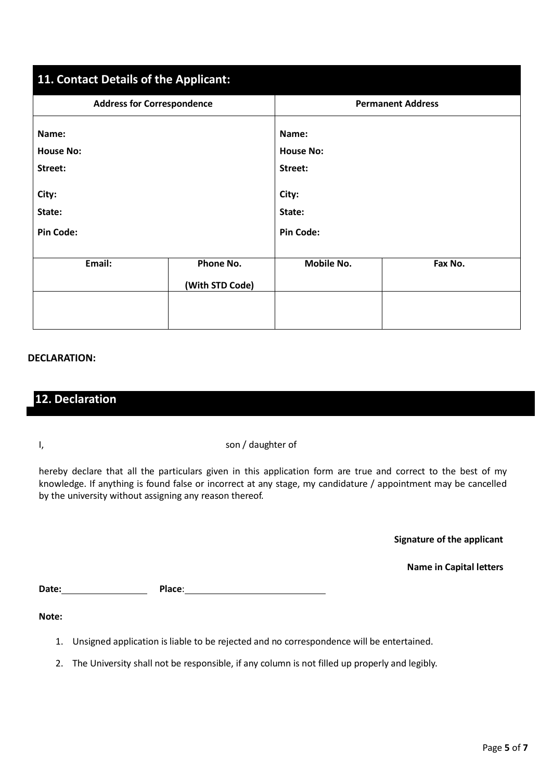| 11. Contact Details of the Applicant: |                 |                   |                          |  |  |
|---------------------------------------|-----------------|-------------------|--------------------------|--|--|
| <b>Address for Correspondence</b>     |                 |                   | <b>Permanent Address</b> |  |  |
| Name:                                 |                 | Name:             |                          |  |  |
| <b>House No:</b>                      |                 | <b>House No:</b>  |                          |  |  |
| Street:                               |                 | Street:           |                          |  |  |
| City:                                 |                 | City:             |                          |  |  |
| State:                                |                 | State:            |                          |  |  |
| <b>Pin Code:</b>                      |                 | <b>Pin Code:</b>  |                          |  |  |
|                                       |                 |                   |                          |  |  |
| Email:                                | Phone No.       | <b>Mobile No.</b> | Fax No.                  |  |  |
|                                       | (With STD Code) |                   |                          |  |  |
|                                       |                 |                   |                          |  |  |
|                                       |                 |                   |                          |  |  |

#### **DECLARATION:**

### **12. Declaration**

I, son / daughter of

hereby declare that all the particulars given in this application form are true and correct to the best of my knowledge. If anything is found false or incorrect at any stage, my candidature / appointment may be cancelled by the university without assigning any reason thereof.

**Signature of the applicant**

**Name in Capital letters**

Date: **Date: Place:** Place: **Place:** Place: **Place:** Place: **Place:** Place: **Place:** Place: **Place:** Place: **Place:** Place: **Place:** Place: Place: Place: Place: Place: Place: Place: Place: Place: Place: Place: Place: Place

**Note:**

- 1. Unsigned application is liable to be rejected and no correspondence will be entertained.
- 2. The University shall not be responsible, if any column is not filled up properly and legibly.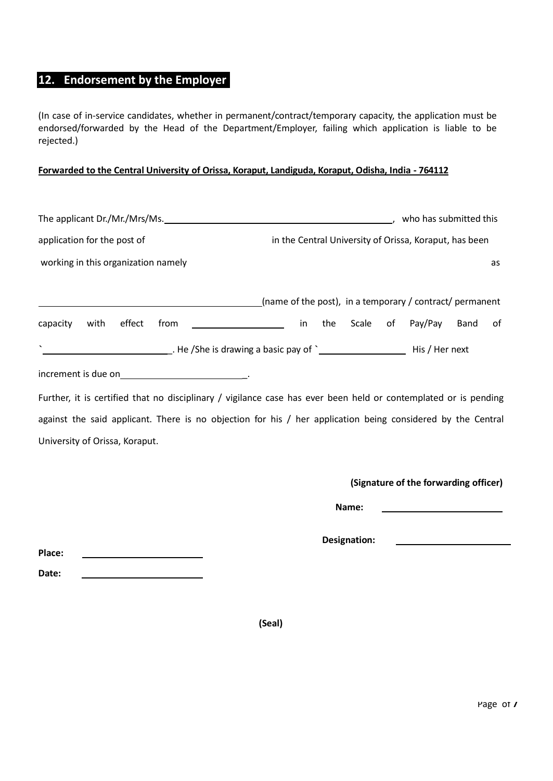## **12. Endorsement by the Employer**

(In case of in-service candidates, whether in permanent/contract/temporary capacity, the application must be endorsed/forwarded by the Head of the Department/Employer, failing which application is liable to be rejected.)

### **Forwarded to the Central University of Orissa, Koraput, Landiguda, Koraput, Odisha, India - 764112**

| The applicant Dr./Mr./Mrs/Ms.                                                                                    |                                                          |     |       |    | who has submitted this                                 |      |    |
|------------------------------------------------------------------------------------------------------------------|----------------------------------------------------------|-----|-------|----|--------------------------------------------------------|------|----|
| application for the post of                                                                                      |                                                          |     |       |    | in the Central University of Orissa, Koraput, has been |      |    |
| working in this organization namely                                                                              |                                                          |     |       |    |                                                        |      | as |
|                                                                                                                  | (name of the post), in a temporary / contract/ permanent |     |       |    |                                                        |      |    |
| effect<br>from<br>capacity<br>with                                                                               | in                                                       | the | Scale | of | Pay/Pay                                                | Band | 0f |
| $\tilde{\phantom{a}}$                                                                                            |                                                          |     |       |    |                                                        |      |    |
| increment is due on example and the set of the set of the set of the set of the set of the set of the set of the |                                                          |     |       |    |                                                        |      |    |
| Further, it is certified that no disciplinary / vigilance case has ever been held or contemplated or is pending  |                                                          |     |       |    |                                                        |      |    |
| against the said applicant. There is no objection for his / her application being considered by the Central      |                                                          |     |       |    |                                                        |      |    |
| University of Orissa, Koraput.                                                                                   |                                                          |     |       |    |                                                        |      |    |
|                                                                                                                  |                                                          |     |       |    |                                                        |      |    |
|                                                                                                                  |                                                          |     |       |    | (Signature of the forwarding officer)                  |      |    |

**Name:** 

**Designation:** 

**Place:** 

**Date:** 

**(Seal)**